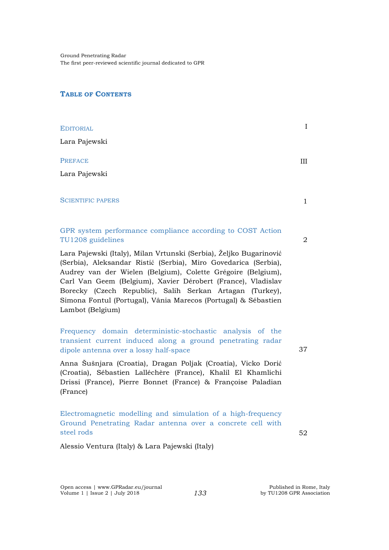Ground Penetrating Radar The first peer-reviewed scientific journal dedicated to GPR

## **TABLE OF CONTENTS**

| <b>EDITORIAL</b>                                                                                                                                                                                                                                                                                                                                                                                                        | $\mathbf I$  |
|-------------------------------------------------------------------------------------------------------------------------------------------------------------------------------------------------------------------------------------------------------------------------------------------------------------------------------------------------------------------------------------------------------------------------|--------------|
| Lara Pajewski                                                                                                                                                                                                                                                                                                                                                                                                           |              |
| <b>PREFACE</b>                                                                                                                                                                                                                                                                                                                                                                                                          | Ш            |
| Lara Pajewski                                                                                                                                                                                                                                                                                                                                                                                                           |              |
| <b>SCIENTIFIC PAPERS</b>                                                                                                                                                                                                                                                                                                                                                                                                | $\mathbf{1}$ |
| GPR system performance compliance according to COST Action<br>TU1208 guidelines                                                                                                                                                                                                                                                                                                                                         | 2            |
| Lara Pajewski (Italy), Milan Vrtunski (Serbia), Željko Bugarinović<br>(Serbia), Aleksandar Ristić (Serbia), Miro Govedarica (Serbia),<br>Audrey van der Wielen (Belgium), Colette Grégoire (Belgium),<br>Carl Van Geem (Belgium), Xavier Dérobert (France), Vladislav<br>Borecky (Czech Republic), Salih Serkan Artagan (Turkey),<br>Simona Fontul (Portugal), Vânia Marecos (Portugal) & Sébastien<br>Lambot (Belgium) |              |
| Frequency domain deterministic-stochastic analysis of the<br>transient current induced along a ground penetrating radar<br>dipole antenna over a lossy half-space                                                                                                                                                                                                                                                       | 37           |
| Anna Šušnjara (Croatia), Dragan Poljak (Croatia), Vicko Dorić<br>(Croatia), Sébastien Lalléchère (France), Khalil El Khamlichi<br>Drissi (France), Pierre Bonnet (France) & Françoise Paladian<br>(France)                                                                                                                                                                                                              |              |
| Electromagnetic modelling and simulation of a high-frequency<br>Ground Penetrating Radar antenna over a concrete cell with<br>steel rods                                                                                                                                                                                                                                                                                | 52           |
| Alessio Ventura (Italy) & Lara Pajewski (Italy)                                                                                                                                                                                                                                                                                                                                                                         |              |